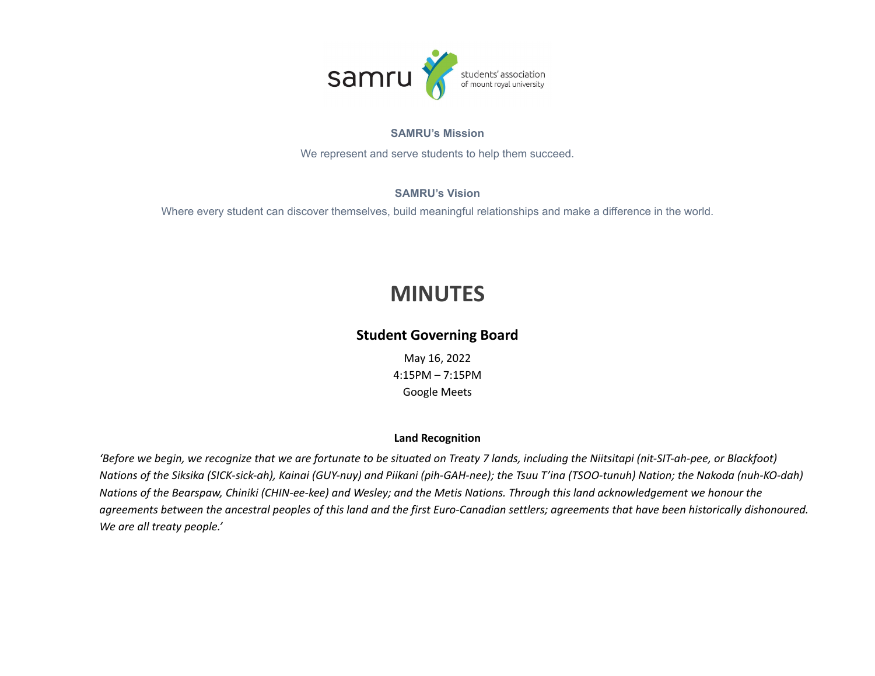

#### **SAMRU's Mission**

We represent and serve students to help them succeed.

#### **SAMRU's Vision**

Where every student can discover themselves, build meaningful relationships and make a difference in the world.

# **MINUTES**

### **Student Governing Board**

May 16, 2022 4:15PM – 7:15PM Google Meets

#### **Land Recognition**

'Before we begin, we recognize that we are fortunate to be situated on Treaty 7 lands, including the Niitsitapi (nit-SIT-ah-pee, or Blackfoot) Nations of the Siksika (SICK-sick-ah), Kainai (GUY-nuy) and Piikani (pih-GAH-nee); the Tsuu T'ina (TSOO-tunuh) Nation; the Nakoda (nuh-KO-dah) Nations of the Bearspaw, Chiniki (CHIN-ee-kee) and Wesley; and the Metis Nations. Through this land acknowledgement we honour the agreements between the ancestral peoples of this land and the first Euro-Canadian settlers; agreements that have been historically dishonoured. *We are all treaty people.'*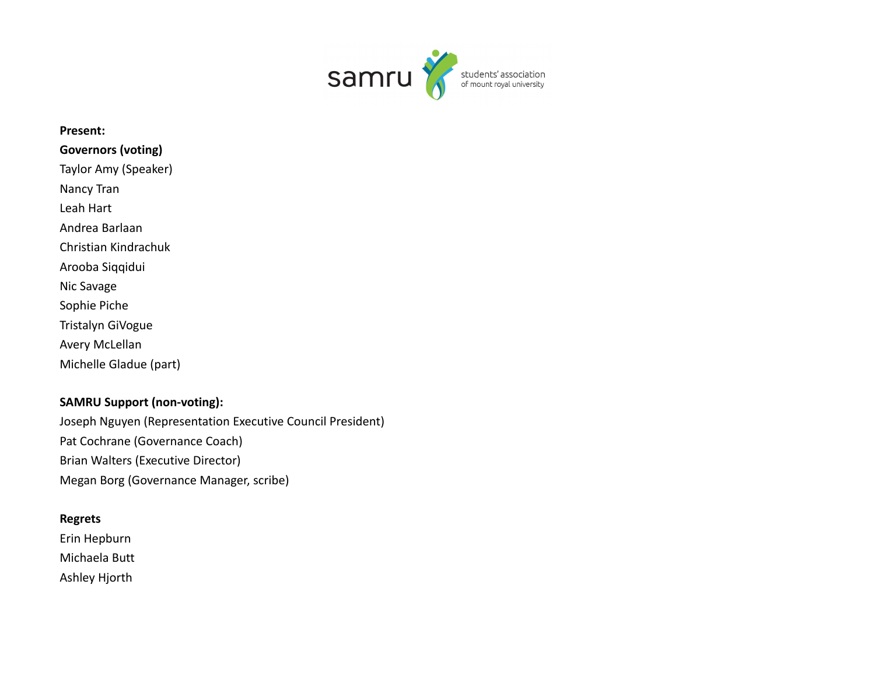

## **Present: Governors (voting)** Taylor Amy (Speaker) Nancy Tran Leah Hart Andrea Barlaan Christian Kindrachuk Arooba Siqqidui Nic Savage Sophie Piche Tristalyn GiVogue Avery McLellan Michelle Gladue (part)

### **SAMRU Support (non-voting):** Joseph Nguyen (Representation Executive Council President) Pat Cochrane (Governance Coach) Brian Walters (Executive Director) Megan Borg (Governance Manager, scribe)

#### **Regrets**

Erin Hepburn Michaela Butt Ashley Hjorth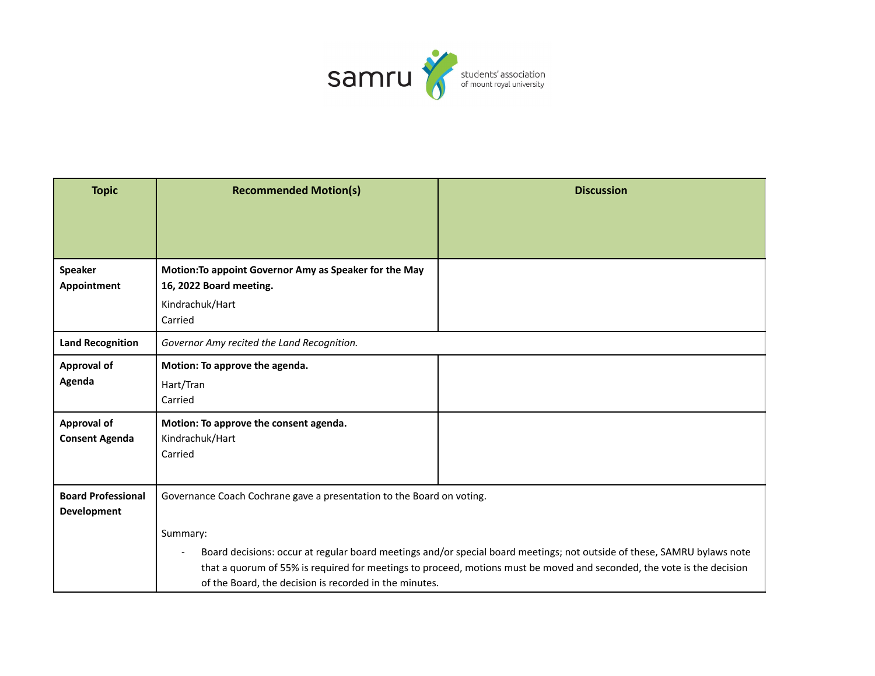

| <b>Topic</b>                                    | <b>Recommended Motion(s)</b>                                                                                    | <b>Discussion</b>                                                                                                                                                                                                                                 |
|-------------------------------------------------|-----------------------------------------------------------------------------------------------------------------|---------------------------------------------------------------------------------------------------------------------------------------------------------------------------------------------------------------------------------------------------|
|                                                 |                                                                                                                 |                                                                                                                                                                                                                                                   |
|                                                 |                                                                                                                 |                                                                                                                                                                                                                                                   |
| <b>Speaker</b><br>Appointment                   | Motion: To appoint Governor Amy as Speaker for the May<br>16, 2022 Board meeting.<br>Kindrachuk/Hart<br>Carried |                                                                                                                                                                                                                                                   |
| <b>Land Recognition</b>                         | Governor Amy recited the Land Recognition.                                                                      |                                                                                                                                                                                                                                                   |
| Approval of<br>Agenda                           | Motion: To approve the agenda.<br>Hart/Tran<br>Carried                                                          |                                                                                                                                                                                                                                                   |
| <b>Approval of</b><br><b>Consent Agenda</b>     | Motion: To approve the consent agenda.<br>Kindrachuk/Hart<br>Carried                                            |                                                                                                                                                                                                                                                   |
| <b>Board Professional</b><br><b>Development</b> | Governance Coach Cochrane gave a presentation to the Board on voting.                                           |                                                                                                                                                                                                                                                   |
|                                                 | Summary:<br>of the Board, the decision is recorded in the minutes.                                              | Board decisions: occur at regular board meetings and/or special board meetings; not outside of these, SAMRU bylaws note<br>that a quorum of 55% is required for meetings to proceed, motions must be moved and seconded, the vote is the decision |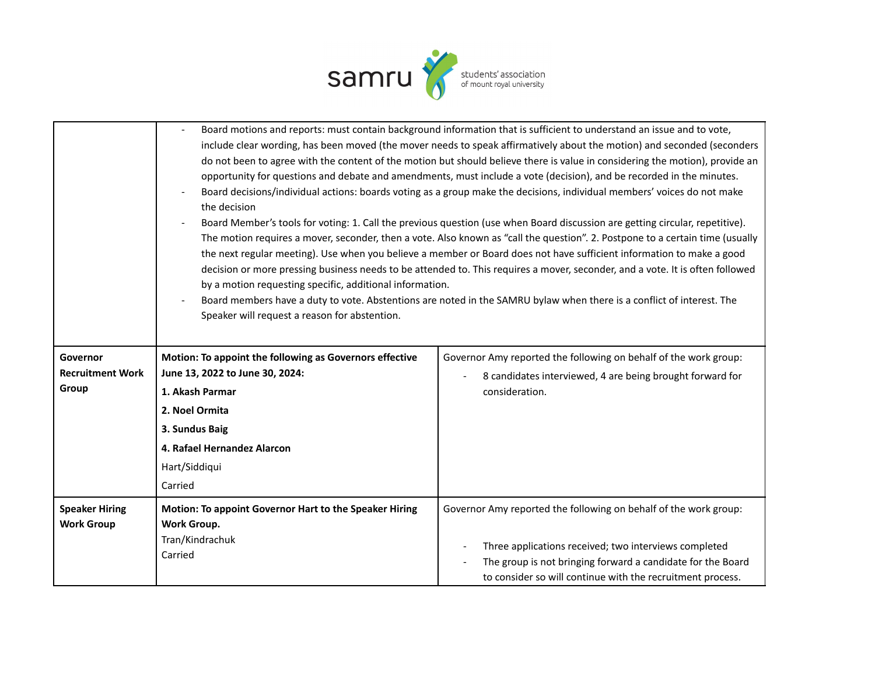

|                                            | the decision<br>by a motion requesting specific, additional information.<br>Speaker will request a reason for abstention. | Board motions and reports: must contain background information that is sufficient to understand an issue and to vote,<br>include clear wording, has been moved (the mover needs to speak affirmatively about the motion) and seconded (seconders<br>do not been to agree with the content of the motion but should believe there is value in considering the motion), provide an<br>opportunity for questions and debate and amendments, must include a vote (decision), and be recorded in the minutes.<br>Board decisions/individual actions: boards voting as a group make the decisions, individual members' voices do not make<br>Board Member's tools for voting: 1. Call the previous question (use when Board discussion are getting circular, repetitive).<br>The motion requires a mover, seconder, then a vote. Also known as "call the question". 2. Postpone to a certain time (usually<br>the next regular meeting). Use when you believe a member or Board does not have sufficient information to make a good<br>decision or more pressing business needs to be attended to. This requires a mover, seconder, and a vote. It is often followed<br>Board members have a duty to vote. Abstentions are noted in the SAMRU bylaw when there is a conflict of interest. The |  |
|--------------------------------------------|---------------------------------------------------------------------------------------------------------------------------|-----------------------------------------------------------------------------------------------------------------------------------------------------------------------------------------------------------------------------------------------------------------------------------------------------------------------------------------------------------------------------------------------------------------------------------------------------------------------------------------------------------------------------------------------------------------------------------------------------------------------------------------------------------------------------------------------------------------------------------------------------------------------------------------------------------------------------------------------------------------------------------------------------------------------------------------------------------------------------------------------------------------------------------------------------------------------------------------------------------------------------------------------------------------------------------------------------------------------------------------------------------------------------------------|--|
| Governor                                   | Motion: To appoint the following as Governors effective                                                                   | Governor Amy reported the following on behalf of the work group:                                                                                                                                                                                                                                                                                                                                                                                                                                                                                                                                                                                                                                                                                                                                                                                                                                                                                                                                                                                                                                                                                                                                                                                                                        |  |
| <b>Recruitment Work</b>                    | June 13, 2022 to June 30, 2024:                                                                                           | 8 candidates interviewed, 4 are being brought forward for                                                                                                                                                                                                                                                                                                                                                                                                                                                                                                                                                                                                                                                                                                                                                                                                                                                                                                                                                                                                                                                                                                                                                                                                                               |  |
| Group                                      | 1. Akash Parmar                                                                                                           | consideration.                                                                                                                                                                                                                                                                                                                                                                                                                                                                                                                                                                                                                                                                                                                                                                                                                                                                                                                                                                                                                                                                                                                                                                                                                                                                          |  |
|                                            | 2. Noel Ormita                                                                                                            |                                                                                                                                                                                                                                                                                                                                                                                                                                                                                                                                                                                                                                                                                                                                                                                                                                                                                                                                                                                                                                                                                                                                                                                                                                                                                         |  |
|                                            | 3. Sundus Baig                                                                                                            |                                                                                                                                                                                                                                                                                                                                                                                                                                                                                                                                                                                                                                                                                                                                                                                                                                                                                                                                                                                                                                                                                                                                                                                                                                                                                         |  |
|                                            | 4. Rafael Hernandez Alarcon                                                                                               |                                                                                                                                                                                                                                                                                                                                                                                                                                                                                                                                                                                                                                                                                                                                                                                                                                                                                                                                                                                                                                                                                                                                                                                                                                                                                         |  |
|                                            | Hart/Siddiqui                                                                                                             |                                                                                                                                                                                                                                                                                                                                                                                                                                                                                                                                                                                                                                                                                                                                                                                                                                                                                                                                                                                                                                                                                                                                                                                                                                                                                         |  |
|                                            | Carried                                                                                                                   |                                                                                                                                                                                                                                                                                                                                                                                                                                                                                                                                                                                                                                                                                                                                                                                                                                                                                                                                                                                                                                                                                                                                                                                                                                                                                         |  |
| <b>Speaker Hiring</b><br><b>Work Group</b> | Motion: To appoint Governor Hart to the Speaker Hiring<br><b>Work Group.</b><br>Tran/Kindrachuk<br>Carried                | Governor Amy reported the following on behalf of the work group:<br>Three applications received; two interviews completed<br>The group is not bringing forward a candidate for the Board<br>to consider so will continue with the recruitment process.                                                                                                                                                                                                                                                                                                                                                                                                                                                                                                                                                                                                                                                                                                                                                                                                                                                                                                                                                                                                                                  |  |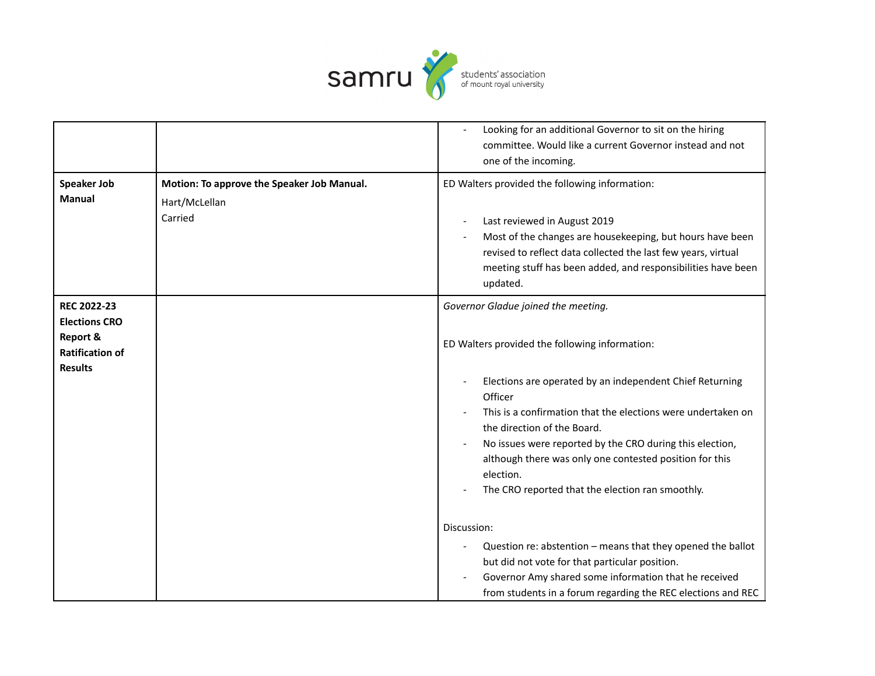

|                                                                                                               |                                                                        | Looking for an additional Governor to sit on the hiring<br>committee. Would like a current Governor instead and not<br>one of the incoming.                                                                                                                                                                                                                                                                                                         |
|---------------------------------------------------------------------------------------------------------------|------------------------------------------------------------------------|-----------------------------------------------------------------------------------------------------------------------------------------------------------------------------------------------------------------------------------------------------------------------------------------------------------------------------------------------------------------------------------------------------------------------------------------------------|
| <b>Speaker Job</b><br><b>Manual</b>                                                                           | Motion: To approve the Speaker Job Manual.<br>Hart/McLellan<br>Carried | ED Walters provided the following information:<br>Last reviewed in August 2019<br>Most of the changes are housekeeping, but hours have been<br>revised to reflect data collected the last few years, virtual<br>meeting stuff has been added, and responsibilities have been<br>updated.                                                                                                                                                            |
| <b>REC 2022-23</b><br><b>Elections CRO</b><br><b>Report &amp;</b><br><b>Ratification of</b><br><b>Results</b> |                                                                        | Governor Gladue joined the meeting.<br>ED Walters provided the following information:<br>Elections are operated by an independent Chief Returning<br>Officer<br>This is a confirmation that the elections were undertaken on<br>the direction of the Board.<br>No issues were reported by the CRO during this election,<br>although there was only one contested position for this<br>election.<br>The CRO reported that the election ran smoothly. |
|                                                                                                               |                                                                        | Discussion:<br>Question re: abstention - means that they opened the ballot<br>but did not vote for that particular position.<br>Governor Amy shared some information that he received<br>from students in a forum regarding the REC elections and REC                                                                                                                                                                                               |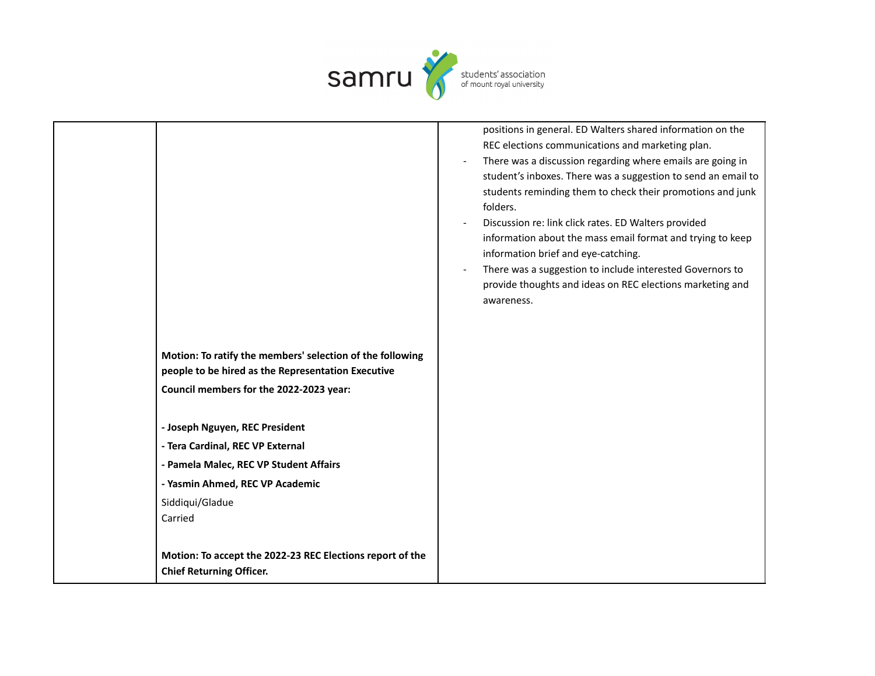

|                                                           | positions in general. ED Walters shared information on the    |
|-----------------------------------------------------------|---------------------------------------------------------------|
|                                                           | REC elections communications and marketing plan.              |
|                                                           | There was a discussion regarding where emails are going in    |
|                                                           | student's inboxes. There was a suggestion to send an email to |
|                                                           | students reminding them to check their promotions and junk    |
|                                                           | folders.                                                      |
|                                                           | Discussion re: link click rates. ED Walters provided          |
|                                                           | information about the mass email format and trying to keep    |
|                                                           | information brief and eye-catching.                           |
|                                                           | There was a suggestion to include interested Governors to     |
|                                                           | provide thoughts and ideas on REC elections marketing and     |
|                                                           | awareness.                                                    |
|                                                           |                                                               |
|                                                           |                                                               |
| Motion: To ratify the members' selection of the following |                                                               |
| people to be hired as the Representation Executive        |                                                               |
| Council members for the 2022-2023 year:                   |                                                               |
|                                                           |                                                               |
| - Joseph Nguyen, REC President                            |                                                               |
|                                                           |                                                               |
| - Tera Cardinal, REC VP External                          |                                                               |
| - Pamela Malec, REC VP Student Affairs                    |                                                               |
| - Yasmin Ahmed, REC VP Academic                           |                                                               |
| Siddiqui/Gladue                                           |                                                               |
| Carried                                                   |                                                               |
|                                                           |                                                               |
| Motion: To accept the 2022-23 REC Elections report of the |                                                               |
| <b>Chief Returning Officer.</b>                           |                                                               |
|                                                           |                                                               |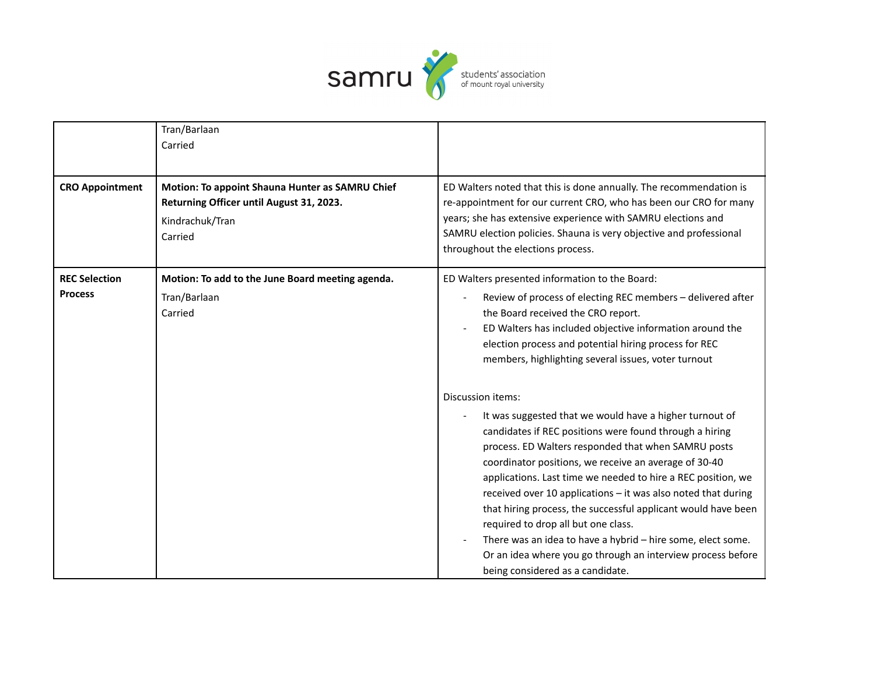

|                        | Tran/Barlaan<br>Carried                                                                                                   |                                                                                                                                                                                                                                                                                                                                                                                                                                                                                                                                                                                                                                               |
|------------------------|---------------------------------------------------------------------------------------------------------------------------|-----------------------------------------------------------------------------------------------------------------------------------------------------------------------------------------------------------------------------------------------------------------------------------------------------------------------------------------------------------------------------------------------------------------------------------------------------------------------------------------------------------------------------------------------------------------------------------------------------------------------------------------------|
| <b>CRO Appointment</b> | Motion: To appoint Shauna Hunter as SAMRU Chief<br>Returning Officer until August 31, 2023.<br>Kindrachuk/Tran<br>Carried | ED Walters noted that this is done annually. The recommendation is<br>re-appointment for our current CRO, who has been our CRO for many<br>years; she has extensive experience with SAMRU elections and<br>SAMRU election policies. Shauna is very objective and professional<br>throughout the elections process.                                                                                                                                                                                                                                                                                                                            |
| <b>REC Selection</b>   | Motion: To add to the June Board meeting agenda.                                                                          | ED Walters presented information to the Board:                                                                                                                                                                                                                                                                                                                                                                                                                                                                                                                                                                                                |
| <b>Process</b>         | Tran/Barlaan<br>Carried                                                                                                   | Review of process of electing REC members - delivered after<br>the Board received the CRO report.<br>ED Walters has included objective information around the<br>election process and potential hiring process for REC<br>members, highlighting several issues, voter turnout                                                                                                                                                                                                                                                                                                                                                                 |
|                        |                                                                                                                           | Discussion items:                                                                                                                                                                                                                                                                                                                                                                                                                                                                                                                                                                                                                             |
|                        |                                                                                                                           | It was suggested that we would have a higher turnout of<br>candidates if REC positions were found through a hiring<br>process. ED Walters responded that when SAMRU posts<br>coordinator positions, we receive an average of 30-40<br>applications. Last time we needed to hire a REC position, we<br>received over 10 applications - it was also noted that during<br>that hiring process, the successful applicant would have been<br>required to drop all but one class.<br>There was an idea to have a hybrid - hire some, elect some.<br>Or an idea where you go through an interview process before<br>being considered as a candidate. |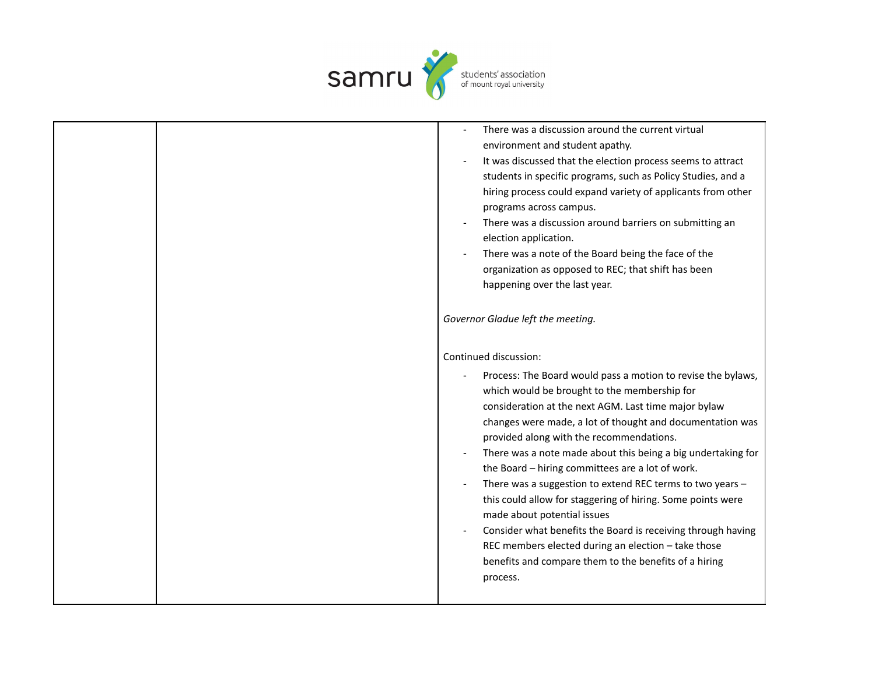

|  | There was a discussion around the current virtual<br>environment and student apathy.<br>It was discussed that the election process seems to attract<br>students in specific programs, such as Policy Studies, and a<br>hiring process could expand variety of applicants from other<br>programs across campus.<br>There was a discussion around barriers on submitting an                                                                                                                                                                                                                                                                                                                                                                                |
|--|----------------------------------------------------------------------------------------------------------------------------------------------------------------------------------------------------------------------------------------------------------------------------------------------------------------------------------------------------------------------------------------------------------------------------------------------------------------------------------------------------------------------------------------------------------------------------------------------------------------------------------------------------------------------------------------------------------------------------------------------------------|
|  | election application.<br>There was a note of the Board being the face of the<br>organization as opposed to REC; that shift has been<br>happening over the last year.                                                                                                                                                                                                                                                                                                                                                                                                                                                                                                                                                                                     |
|  | Governor Gladue left the meeting.                                                                                                                                                                                                                                                                                                                                                                                                                                                                                                                                                                                                                                                                                                                        |
|  | Continued discussion:                                                                                                                                                                                                                                                                                                                                                                                                                                                                                                                                                                                                                                                                                                                                    |
|  | Process: The Board would pass a motion to revise the bylaws,<br>which would be brought to the membership for<br>consideration at the next AGM. Last time major bylaw<br>changes were made, a lot of thought and documentation was<br>provided along with the recommendations.<br>There was a note made about this being a big undertaking for<br>the Board - hiring committees are a lot of work.<br>There was a suggestion to extend REC terms to two years -<br>this could allow for staggering of hiring. Some points were<br>made about potential issues<br>Consider what benefits the Board is receiving through having<br>REC members elected during an election - take those<br>benefits and compare them to the benefits of a hiring<br>process. |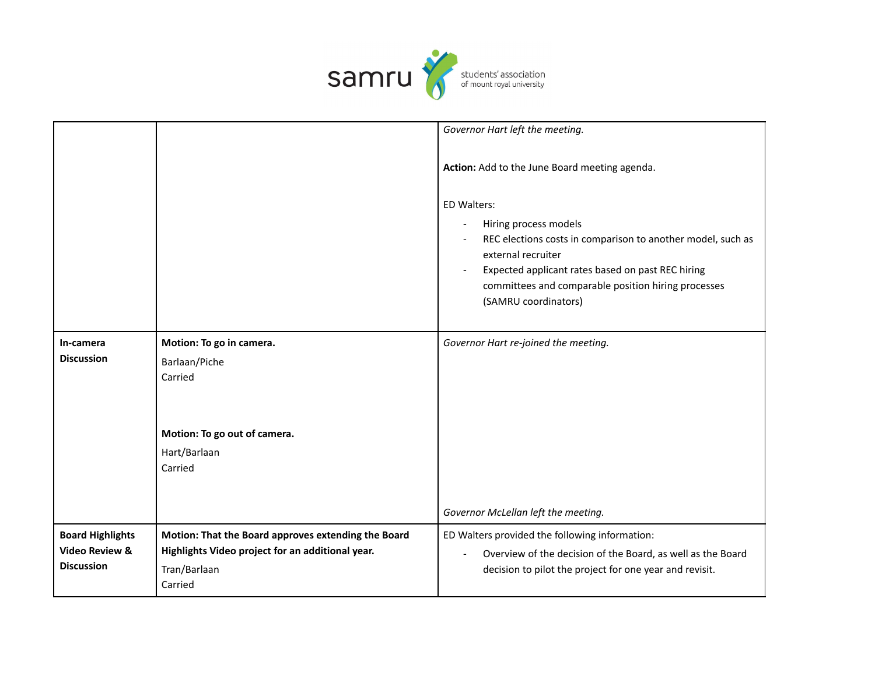

|                                                                           |                                                                                                                         | Governor Hart left the meeting.                                                                                                                                                                                                                               |
|---------------------------------------------------------------------------|-------------------------------------------------------------------------------------------------------------------------|---------------------------------------------------------------------------------------------------------------------------------------------------------------------------------------------------------------------------------------------------------------|
|                                                                           |                                                                                                                         | Action: Add to the June Board meeting agenda.                                                                                                                                                                                                                 |
|                                                                           |                                                                                                                         | ED Walters:<br>Hiring process models<br>REC elections costs in comparison to another model, such as<br>external recruiter<br>Expected applicant rates based on past REC hiring<br>committees and comparable position hiring processes<br>(SAMRU coordinators) |
| In-camera<br><b>Discussion</b>                                            | Motion: To go in camera.<br>Barlaan/Piche<br>Carried<br>Motion: To go out of camera.<br>Hart/Barlaan<br>Carried         | Governor Hart re-joined the meeting.                                                                                                                                                                                                                          |
| <b>Board Highlights</b><br><b>Video Review &amp;</b><br><b>Discussion</b> | Motion: That the Board approves extending the Board<br>Highlights Video project for an additional year.<br>Tran/Barlaan | Governor McLellan left the meeting.<br>ED Walters provided the following information:<br>Overview of the decision of the Board, as well as the Board<br>decision to pilot the project for one year and revisit.                                               |
|                                                                           | Carried                                                                                                                 |                                                                                                                                                                                                                                                               |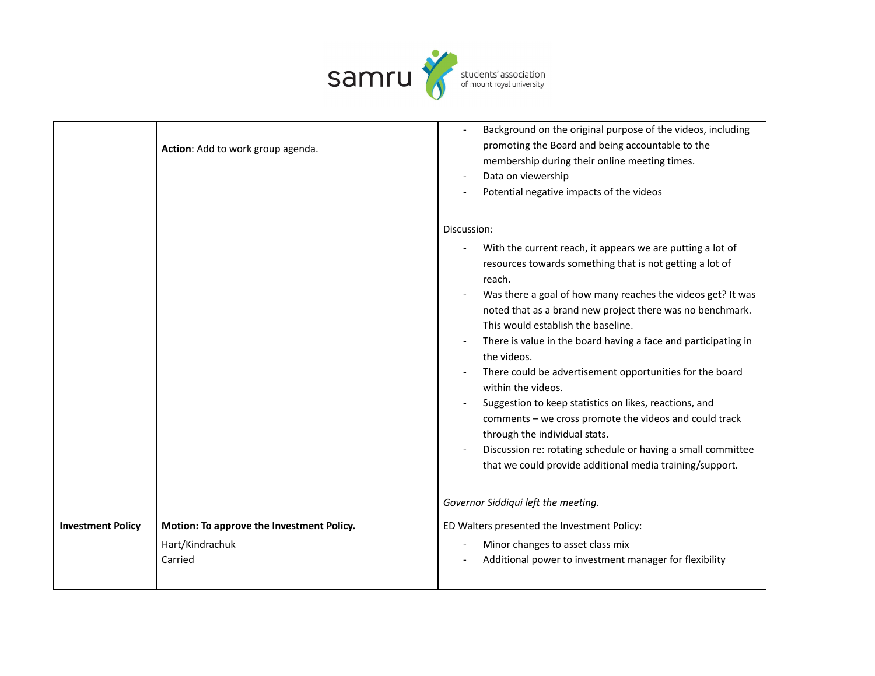

|                          | Action: Add to work group agenda.                                       | Background on the original purpose of the videos, including<br>promoting the Board and being accountable to the<br>membership during their online meeting times.<br>Data on viewership<br>Potential negative impacts of the videos                                                                                                                                                                                                                                                                                                                                                                                                                                                                                                                                    |
|--------------------------|-------------------------------------------------------------------------|-----------------------------------------------------------------------------------------------------------------------------------------------------------------------------------------------------------------------------------------------------------------------------------------------------------------------------------------------------------------------------------------------------------------------------------------------------------------------------------------------------------------------------------------------------------------------------------------------------------------------------------------------------------------------------------------------------------------------------------------------------------------------|
|                          |                                                                         | Discussion:<br>With the current reach, it appears we are putting a lot of<br>resources towards something that is not getting a lot of<br>reach.<br>Was there a goal of how many reaches the videos get? It was<br>noted that as a brand new project there was no benchmark.<br>This would establish the baseline.<br>There is value in the board having a face and participating in<br>the videos.<br>There could be advertisement opportunities for the board<br>within the videos.<br>Suggestion to keep statistics on likes, reactions, and<br>comments - we cross promote the videos and could track<br>through the individual stats.<br>Discussion re: rotating schedule or having a small committee<br>that we could provide additional media training/support. |
|                          |                                                                         | Governor Siddiqui left the meeting.                                                                                                                                                                                                                                                                                                                                                                                                                                                                                                                                                                                                                                                                                                                                   |
| <b>Investment Policy</b> | Motion: To approve the Investment Policy.<br>Hart/Kindrachuk<br>Carried | ED Walters presented the Investment Policy:<br>Minor changes to asset class mix<br>Additional power to investment manager for flexibility                                                                                                                                                                                                                                                                                                                                                                                                                                                                                                                                                                                                                             |